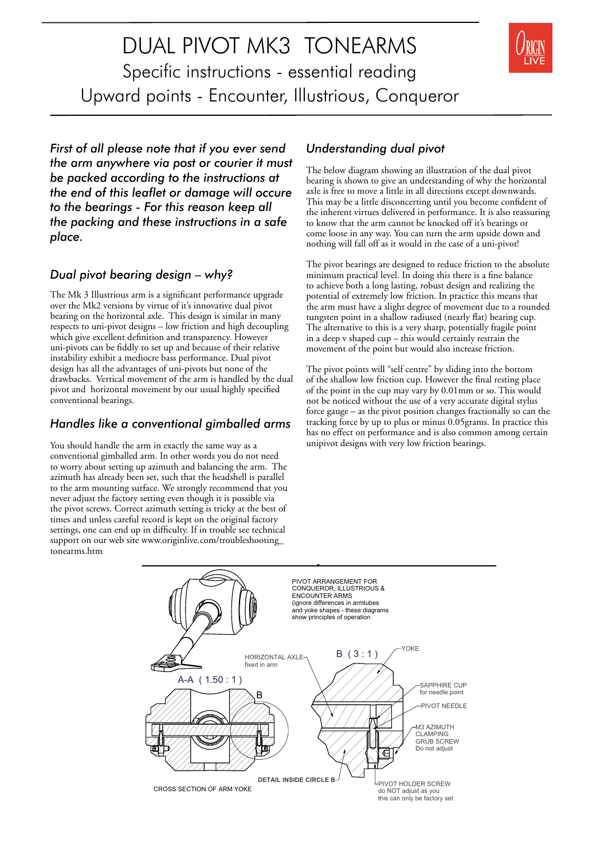DUAL PIVOT MK3 TONEARMS Specific instructions - essential reading Upward points - Encounter, Illustrious, Conqueror



*First of all please note that if you ever send the arm anywhere via post or courier it must be packed according to the instructions at the end of this leaflet or damage will occure to the bearings - For this reason keep all the packing and these instructions in a safe place.*

### *Dual pivot bearing design – why?*

The Mk 3 Illustrious arm is a significant performance upgrade over the Mk2 versions by virtue of it's innovative dual pivot bearing on the horizontal axle. This design is similar in many respects to uni-pivot designs – low friction and high decoupling which give excellent definition and transparency. However uni-pivots can be fiddly to set up and because of their relative instability exhibit a mediocre bass performance. Dual pivot design has all the advantages of uni-pivots but none of the drawbacks. Vertical movement of the arm is handled by the dual pivot and horizontal movement by our usual highly specified conventional bearings.

### *Handles like a conventional gimballed arms*

You should handle the arm in exactly the same way as a conventional gimballed arm. In other words you do not need to worry about setting up azimuth and balancing the arm. The azimuth has already been set, such that the headshell is parallel to the arm mounting surface. We strongly recommend that you never adjust the factory setting even though it is possible via the pivot screws. Correct azimuth setting is tricky at the best of times and unless careful record is kept on the original factory settings, one can end up in difficulty. If in trouble see technical support on our web site www.originlive.com/troubleshooting\_ tonearms.htm

### *Understanding dual pivot*

The below diagram showing an illustration of the dual pivot bearing is shown to give an understanding of why the horizontal axle is free to move a little in all directions except downwards. This may be a little disconcerting until you become confident of the inherent virtues delivered in performance. It is also reassuring to know that the arm cannot be knocked off it's bearings or come loose in any way. You can turn the arm upside down and nothing will fall off as it would in the case of a uni-pivot!

The pivot bearings are designed to reduce friction to the absolute minimum practical level. In doing this there is a fine balance to achieve both a long lasting, robust design and realizing the potential of extremely low friction. In practice this means that the arm must have a slight degree of movement due to a rounded tungsten point in a shallow radiused (nearly flat) bearing cup. The alternative to this is a very sharp, potentially fragile point in a deep v shaped cup – this would certainly restrain the movement of the point but would also increase friction.

The pivot points will "self centre" by sliding into the bottom of the shallow low friction cup. However the final resting place of the point in the cup may vary by 0.01mm or so. This would not be noticed without the use of a very accurate digital stylus force gauge – as the pivot position changes fractionally so can the tracking force by up to plus or minus 0.05grams. In practice this has no effect on performance and is also common among certain unipivot designs with very low friction bearings.

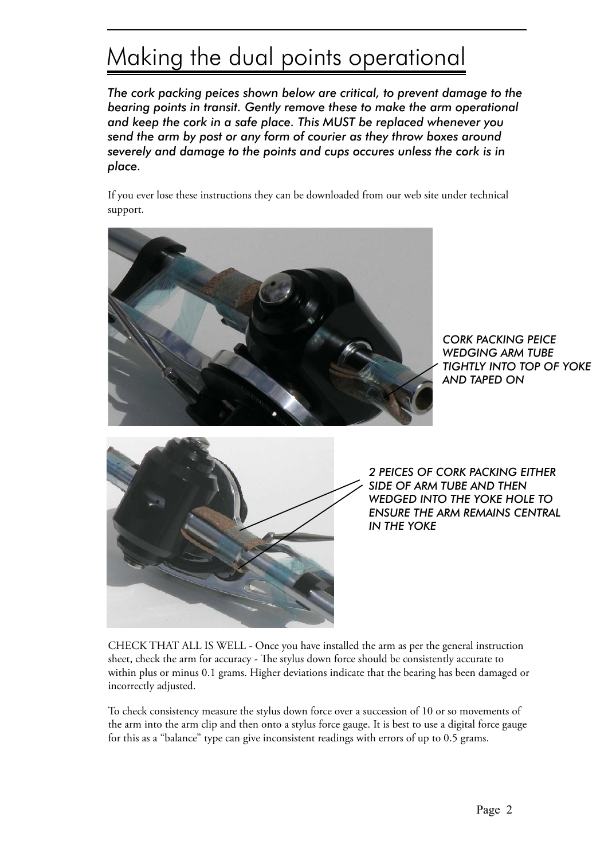## Making the dual points operational

*The cork packing peices shown below are critical, to prevent damage to the bearing points in transit. Gently remove these to make the arm operational and keep the cork in a safe place. This MUST be replaced whenever you send the arm by post or any form of courier as they throw boxes around severely and damage to the points and cups occures unless the cork is in place.*

If you ever lose these instructions they can be downloaded from our web site under technical support.



*CORK PACKING PEICE WEDGING ARM TUBE TIGHTLY INTO TOP OF YOKE AND TAPED ON* 



*2 PEICES OF CORK PACKING EITHER SIDE OF ARM TUBE AND THEN WEDGED INTO THE YOKE HOLE TO ENSURE THE ARM REMAINS CENTRAL IN THE YOKE*

CHECK THAT ALL IS WELL - Once you have installed the arm as per the general instruction sheet, check the arm for accuracy - The stylus down force should be consistently accurate to within plus or minus 0.1 grams. Higher deviations indicate that the bearing has been damaged or incorrectly adjusted.

To check consistency measure the stylus down force over a succession of 10 or so movements of the arm into the arm clip and then onto a stylus force gauge. It is best to use a digital force gauge for this as a "balance" type can give inconsistent readings with errors of up to 0.5 grams.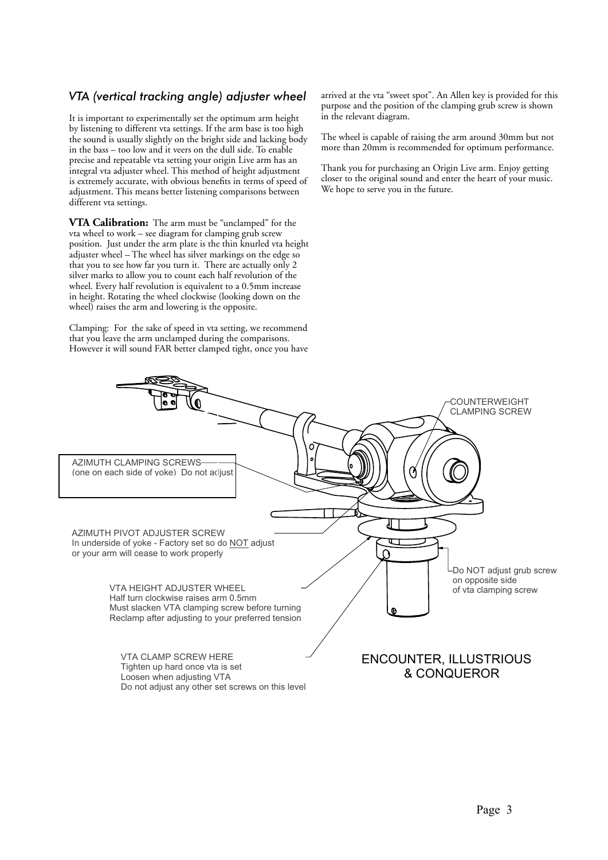### *VTA (vertical tracking angle) adjuster wheel*

It is important to experimentally set the optimum arm height by listening to different vta settings. If the arm base is too high the sound is usually slightly on the bright side and lacking body in the bass – too low and it veers on the dull side. To enable precise and repeatable vta setting your origin Live arm has an integral vta adjuster wheel. This method of height adjustment is extremely accurate, with obvious benefits in terms of speed of adjustment. This means better listening comparisons between different vta settings.

**VTA Calibration:** The arm must be "unclamped" for the vta wheel to work – see diagram for clamping grub screw position. Just under the arm plate is the thin knurled vta height adjuster wheel – The wheel has silver markings on the edge so that you to see how far you turn it. There are actually only 2 silver marks to allow you to count each half revolution of the wheel. Every half revolution is equivalent to a 0.5mm increase in height. Rotating the wheel clockwise (looking down on the wheel) raises the arm and lowering is the opposite.

Clamping: For the sake of speed in vta setting, we recommend that you leave the arm unclamped during the comparisons. However it will sound FAR better clamped tight, once you have arrived at the vta "sweet spot". An Allen key is provided for this purpose and the position of the clamping grub screw is shown in the relevant diagram.

The wheel is capable of raising the arm around 30mm but not more than 20mm is recommended for optimum performance.

Thank you for purchasing an Origin Live arm. Enjoy getting closer to the original sound and enter the heart of your music. We hope to serve you in the future.